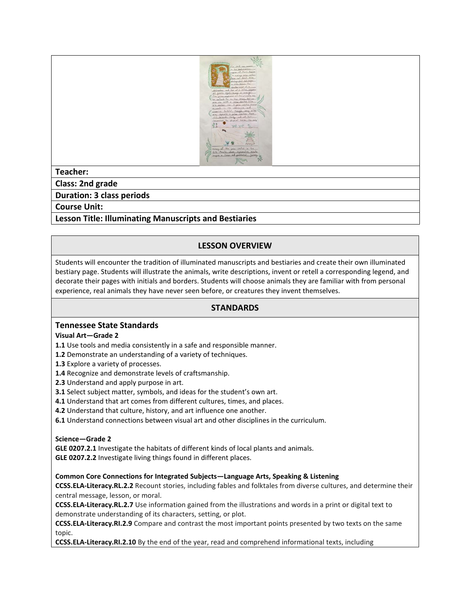

# **Teacher:**

**Class: 2nd grade**

**Duration: 3 class periods**

**Course Unit:**

# **Lesson Title: Illuminating Manuscripts and Bestiaries**

# **LESSON OVERVIEW**

Students will encounter the tradition of illuminated manuscripts and bestiaries and create their own illuminated bestiary page. Students will illustrate the animals, write descriptions, invent or retell a corresponding legend, and decorate their pages with initials and borders. Students will choose animals they are familiar with from personal experience, real animals they have never seen before, or creatures they invent themselves.

## **STANDARDS**

## **Tennessee State Standards**

### **Visual Art—Grade 2**

**1.1** Use tools and media consistently in a safe and responsible manner.

- **1.2** Demonstrate an understanding of a variety of techniques.
- **1.3** Explore a variety of processes.
- **1.4** Recognize and demonstrate levels of craftsmanship.
- **2.3** Understand and apply purpose in art.
- **3.1** Select subject matter, symbols, and ideas for the student's own art.
- **4.1** Understand that art comes from different cultures, times, and places.
- **4.2** Understand that culture, history, and art influence one another.
- **6.1** Understand connections between visual art and other disciplines in the curriculum.

### **Science—Grade 2**

**GLE 0207.2.1** Investigate the habitats of different kinds of local plants and animals. **GLE 0207.2.2** Investigate living things found in different places.

**Common Core Connections for Integrated Subjects—Language Arts, Speaking & Listening**

**CCSS.ELA-Literacy[.RL.2.2](http://www.corestandards.org/ELA-Literacy/RL/2/2/)** Recount stories, including fables and folktales from diverse cultures, and determine their central message, lesson, or moral.

**CCSS.ELA-Literacy[.RL.2.7](http://www.corestandards.org/ELA-Literacy/RL/2/7/)** Use information gained from the illustrations and words in a print or digital text to demonstrate understanding of its characters, setting, or plot.

**CCSS.ELA-Literacy[.RI.2.9](http://www.corestandards.org/ELA-Literacy/RI/2/9/)** Compare and contrast the most important points presented by two texts on the same topic.

**CCSS.ELA-Literacy[.RI.2.10](http://www.corestandards.org/ELA-Literacy/RI/2/10/)** By the end of the year, read and comprehend informational texts, including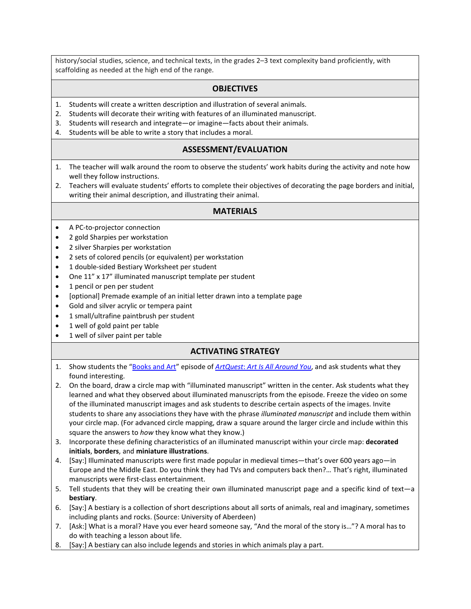history/social studies, science, and technical texts, in the grades 2–3 text complexity band proficiently, with scaffolding as needed at the high end of the range.

### **OBJECTIVES**

- 1. Students will create a written description and illustration of several animals.
- 2. Students will decorate their writing with features of an illuminated manuscript.
- 3. Students will research and integrate—or imagine—facts about their animals.
- 4. Students will be able to write a story that includes a moral.

### **ASSESSMENT/EVALUATION**

- 1. The teacher will walk around the room to observe the students' work habits during the activity and note how well they follow instructions.
- 2. Teachers will evaluate students' efforts to complete their objectives of decorating the page borders and initial, writing their animal description, and illustrating their animal.

### **MATERIALS**

- A PC-to-projector connection
- 2 gold Sharpies per workstation
- 2 silver Sharpies per workstation
- 2 sets of colored pencils (or equivalent) per workstation
- 1 double-sided Bestiary Worksheet per student
- One 11" x 17" illuminated manuscript template per student
- 1 pencil or pen per student
- [optional] Premade example of an initial letter drawn into a template page
- Gold and silver acrylic or tempera paint
- 1 small/ultrafine paintbrush per student
- 1 well of gold paint per table
- 1 well of silver paint per table

## **ACTIVATING STRATEGY**

- 1. Show students the ["Books and Art"](http://fristkids.org/activities-videos#5749) episode of *ArtQuest*: *[Art Is All Around You](http://fristkids.org/activities-videos)*, and ask students what they found interesting.
- 2. On the board, draw a circle map with "illuminated manuscript" written in the center. Ask students what they learned and what they observed about illuminated manuscripts from the episode. Freeze the video on some of the illuminated manuscript images and ask students to describe certain aspects of the images. Invite students to share any associations they have with the phrase *illuminated manuscript* and include them within your circle map. (For advanced circle mapping, draw a square around the larger circle and include within this square the answers to *how* they know what they know.)
- 3. Incorporate these defining characteristics of an illuminated manuscript within your circle map: **decorated initials**, **borders**, and **miniature illustrations**.
- 4. [Say:] Illuminated manuscripts were first made popular in medieval times—that's over 600 years ago—in Europe and the Middle East. Do you think they had TVs and computers back then?… That's right, illuminated manuscripts were first-class entertainment.
- 5. Tell students that they will be creating their own illuminated manuscript page and a specific kind of text—a **bestiary**.
- 6. [Say:] A bestiary is a collection of short descriptions about all sorts of animals, real and imaginary, sometimes including plants and rocks. (Source: University of Aberdeen)
- 7. [Ask:] What is a moral? Have you ever heard someone say, "And the moral of the story is…"? A moral has to do with teaching a lesson about life.
- 8. [Say:] A bestiary can also include legends and stories in which animals play a part.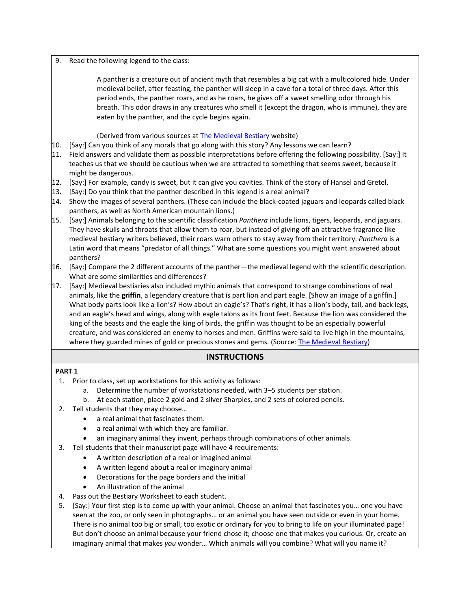#### 9. Read the following legend to the class:

A panther is a creature out of ancient myth that resembles a big cat with a multicolored hide. Under [medieval](http://en.wikipedia.org/wiki/Medieval) belief, after feasting, the panther will sleep in a cave for a total of three days. After this period ends, the panther roars, and as he roars, he gives off a sweet smelling odor through his breath. This odor draws in any creatures who smell it (except the [dragon,](http://en.wikipedia.org/wiki/Dragon) who is immune), they are eaten by the panther, and the cycle begins again.

(Derived from various sources at [The Medieval Bestiary](http://bestiary.ca/beasts/beast79.htm) website)

- 10. [Say:] Can you think of any morals that go along with this story? Any lessons we can learn?
- 11. Field answers and validate them as possible interpretations before offering the following possibility. [Say:] It teaches us that we should be cautious when we are attracted to something that seems sweet, because it might be dangerous.
- 12. [Say:] For example, candy is sweet, but it can give you cavities. Think of the story of Hansel and Gretel.
- 13. [Say:] Do you think that the panther described in this legend is a real animal?
- 14. Show the images of several panthers. (These can include the black-coated jaguars and leopards called black panthers, as well as North American mountain lions.)
- 15. [Say:] Animals belonging to the scientific classification *Panthera* include lions, tigers, leopards, and jaguars. They have skulls and throats that allow them to roar, but instead of giving off an attractive fragrance like medieval bestiary writers believed, their roars warn others to stay away from their territory. *Panthera* is a Latin word that means "predator of all things." What are some questions you might want answered about panthers?
- 16. [Say:] Compare the 2 different accounts of the panther—the medieval legend with the scientific description. What are some similarities and differences?
- 17. [Say:] Medieval bestiaries also included mythic animals that correspond to strange combinations of real animals, like the **griffin**, a [legendary creature](http://en.wikipedia.org/wiki/Legendary_creature) that is part lion and part eagle. [Show an image of a griffin.] What body parts look like a lion's? How about an eagle's? That's right, it has a lion's body, tail, and [back legs,](http://en.wikipedia.org/wiki/Hindlimb) and an eagle's head and wings, along with eagle talons as its front feet. Because the lion was considered the king of the beasts and the eagle the king of birds, the griffin was thought to be an especially powerful creature, and was considered an enemy to horses and men. Griffins were said to live high in the mountains, where they guarded mines of gold or precious stones and gems. (Source: [The Medieval Bestiary\)](http://bestiary.ca/beasts/beast151.htm)

# **INSTRUCTIONS**

### **PART 1**

- 1. Prior to class, set up workstations for this activity as follows:
	- a. Determine the number of workstations needed, with 3–5 students per station.
	- b. At each station, place 2 gold and 2 silver Sharpies, and 2 sets of colored pencils.
- 2. Tell students that they may choose…
	- a real animal that fascinates them.
	- a real animal with which they are familiar.
	- an imaginary animal they invent, perhaps through combinations of other animals.
- 3. Tell students that their manuscript page will have 4 requirements:
	- A written description of a real or imagined animal
	- A written legend about a real or imaginary animal
	- Decorations for the page borders and the initial
	- An illustration of the animal
- 4. Pass out the Bestiary Worksheet to each student.
- 5. [Say:] Your first step is to come up with your animal. Choose an animal that fascinates you… one you have seen at the zoo, or only seen in photographs… or an animal you have seen outside or even in your home. There is no animal too big or small, too exotic or ordinary for you to bring to life on your illuminated page! But don't choose an animal because your friend chose it; choose one that makes you curious. Or, create an imaginary animal that makes *you* wonder… Which animals will you combine? What will you name it?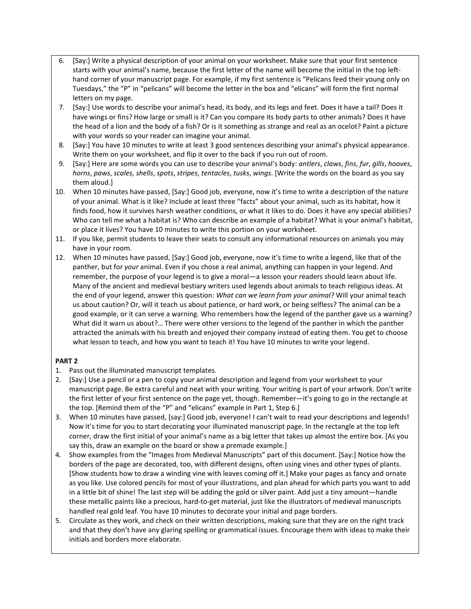- 6. [Say:] Write a physical description of your animal on your worksheet. Make sure that your first sentence starts with your animal's name, because the first letter of the name will become the initial in the top lefthand corner of your manuscript page. For example, if my first sentence is "Pelicans feed their young only on Tuesdays," the "P" in "pelicans" will become the letter in the box and "elicans" will form the first normal letters on my page.
- 7. [Say:] Use words to describe your animal's head, its body, and its legs and feet. Does it have a tail? Does it have wings or fins? How large or small is it? Can you compare its body parts to other animals? Does it have the head of a lion and the body of a fish? Or is it something as strange and real as an ocelot? Paint a picture with your words so your reader can imagine your animal.
- 8. [Say:] You have 10 minutes to write at least 3 good sentences describing your animal's physical appearance. Write them on your worksheet, and flip it over to the back if you run out of room.
- 9. [Say:] Here are some words you can use to describe your animal's body: *antlers*, *claws*, *fins*, *fur*, *gills*, *hooves*, *horns*, *paws*, *scales*, *shells*, *spots*, *stripes*, *tentacles*, *tusks*, *wings*. [Write the words on the board as you say them aloud.]
- 10. When 10 minutes have passed, [Say:] Good job, everyone, now it's time to write a description of the nature of your animal. What is it like? Include at least three "facts" about your animal, such as its habitat, how it finds food, how it survives harsh weather conditions, or what it likes to do. Does it have any special abilities? Who can tell me what a habitat is? Who can describe an example of a habitat? What is your animal's habitat, or place it lives? You have 10 minutes to write this portion on your worksheet.
- 11. If you like, permit students to leave their seats to consult any informational resources on animals you may have in your room.
- 12. When 10 minutes have passed, [Say:] Good job, everyone, now it's time to write a legend, like that of the panther, but for *your* animal. Even if you chose a real animal, anything can happen in your legend. And remember, the purpose of your legend is to give a moral—a lesson your readers should learn about life. Many of the ancient and medieval bestiary writers used legends about animals to teach religious ideas. At the end of your legend, answer this question: *What can we learn from your animal?* Will your animal teach us about caution? Or, will it teach us about patience, or hard work, or being selfless? The animal can be a good example, or it can serve a warning. Who remembers how the legend of the panther gave us a warning? What did it warn us about?… There were other versions to the legend of the panther in which the panther attracted the animals with his breath and enjoyed their company instead of eating them. You get to choose what lesson to teach, and how you want to teach it! You have 10 minutes to write your legend.

### **PART 2**

- 1. Pass out the illuminated manuscript templates.
- 2. [Say:] Use a pencil or a pen to copy your animal description and legend from your worksheet to your manuscript page. Be extra careful and neat with your writing. Your writing is part of your artwork. Don't write the first letter of your first sentence on the page yet, though. Remember—it's going to go in the rectangle at the top. [Remind them of the "P" and "elicans" example in Part 1, Step 6.]
- 3. When 10 minutes have passed, [say:] Good job, everyone! I can't wait to read your descriptions and legends! Now it's time for you to start decorating your illuminated manuscript page. In the rectangle at the top left corner, draw the first initial of your animal's name as a big letter that takes up almost the entire box. [As you say this, draw an example on the board or show a premade example.]
- 4. Show examples from the "Images from Medieval Manuscripts" part of this document. [Say:] Notice how the borders of the page are decorated, too, with different designs, often using vines and other types of plants. [Show students how to draw a winding vine with leaves coming off it.] Make your pages as fancy and ornate as you like. Use colored pencils for most of your illustrations, and plan ahead for which parts you want to add in a little bit of shine! The last step will be adding the gold or silver paint. Add just a tiny amount—handle these metallic paints like a precious, hard-to-get material, just like the illustrators of medieval manuscripts handled real gold leaf. You have 10 minutes to decorate your initial and page borders.
- 5. Circulate as they work, and check on their written descriptions, making sure that they are on the right track and that they don't have any glaring spelling or grammatical issues. Encourage them with ideas to make their initials and borders more elaborate.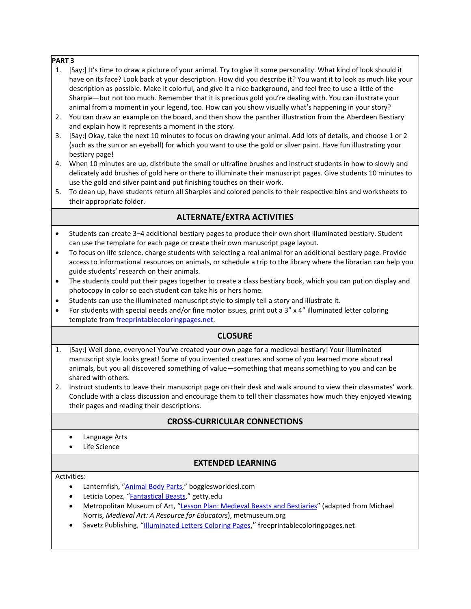### **PART 3**

- 1. [Say:] It's time to draw a picture of your animal. Try to give it some personality. What kind of look should it have on its face? Look back at your description. How did you describe it? You want it to look as much like your description as possible. Make it colorful, and give it a nice background, and feel free to use a little of the Sharpie—but not too much. Remember that it is precious gold you're dealing with. You can illustrate your animal from a moment in your legend, too. How can you show visually what's happening in your story?
- 2. You can draw an example on the board, and then show the panther illustration from the Aberdeen Bestiary and explain how it represents a moment in the story.
- 3. [Say:] Okay, take the next 10 minutes to focus on drawing your animal. Add lots of details, and choose 1 or 2 (such as the sun or an eyeball) for which you want to use the gold or silver paint. Have fun illustrating your bestiary page!
- 4. When 10 minutes are up, distribute the small or ultrafine brushes and instruct students in how to slowly and delicately add brushes of gold here or there to illuminate their manuscript pages. Give students 10 minutes to use the gold and silver paint and put finishing touches on their work.
- 5. To clean up, have students return all Sharpies and colored pencils to their respective bins and worksheets to their appropriate folder.

# **ALTERNATE/EXTRA ACTIVITIES**

- Students can create 3–4 additional bestiary pages to produce their own short illuminated bestiary. Student can use the template for each page or create their own manuscript page layout.
- To focus on life science, charge students with selecting a real animal for an additional bestiary page. Provide access to informational resources on animals, or schedule a trip to the library where the librarian can help you guide students' research on their animals.
- The students could put their pages together to create a class bestiary book, which you can put on display and photocopy in color so each student can take his or hers home.
- Students can use the illuminated manuscript style to simply tell a story and illustrate it.
- For students with special needs and/or fine motor issues, print out a 3" x 4" illuminated letter coloring template from [freeprintablecoloringpages.net.](http://www.freeprintablecoloringpages.net/category/Illuminated_Letters)

## **CLOSURE**

- 1. [Say:] Well done, everyone! You've created your own page for a medieval bestiary! Your illuminated manuscript style looks great! Some of you invented creatures and some of you learned more about real animals, but you all discovered something of value—something that means something to you and can be shared with others.
- 2. Instruct students to leave their manuscript page on their desk and walk around to view their classmates' work. Conclude with a class discussion and encourage them to tell their classmates how much they enjoyed viewing their pages and reading their descriptions.

## **CROSS-CURRICULAR CONNECTIONS**

- Language Arts
- **Life Science**

## **EXTENDED LEARNING**

### Activities:

- Lanternfish, ["Animal Body Parts,](http://bogglesworldesl.com/lessons/animal_parts.htm)" bogglesworldesl.com
- Leticia Lopez, ["Fantastical Beasts,"](http://www.getty.edu/education/teachers/classroom_resources/curricula/arts_lang_arts/a_la_lesson35.html) getty.edu
- Metropolitan Museum of Art, ["Lesson Plan: Medieval Beasts and Bestiaries"](http://www.metmuseum.org/learn/for-educators/lesson-plans-and-pre-visit-guides/medieval-beasts-and-bestiaries) (adapted from Michael Norris, *Medieval Art: A Resource for Educators*), metmuseum.org
- Savetz Publishing, ["Illuminated Letters Coloring Pages,](http://www.freeprintablecoloringpages.net/category/Illuminated_Letters)" freeprintablecoloringpages.net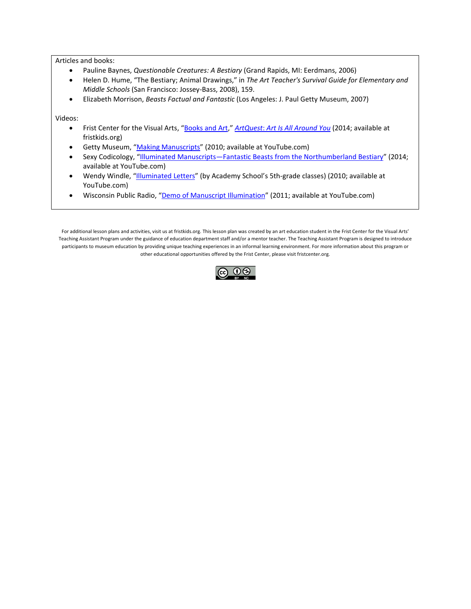Articles and books:

- Pauline Baynes, *Questionable Creatures: A Bestiary* (Grand Rapids, MI: Eerdmans, 2006)
- Helen D. Hume, "The Bestiary; Animal Drawings," in *The Art Teacher's Survival Guide for Elementary and Middle Schools* (San Francisco: Jossey-Bass, 2008), 159.
- Elizabeth Morrison, *Beasts Factual and Fantastic* (Los Angeles: J. Paul Getty Museum, 2007)

Videos:

- Frist Center for the Visual Arts, ["Books and Art,"](http://fristkids.org/activities-videos#5749) *ArtQuest*: *[Art Is All Around You](http://fristkids.org/activities-videos)* (2014; available at fristkids.org)
- Getty Museum, ["Making Manuscripts"](https://www.youtube.com/watch?v=1aDHJu9J10o) (2010; available at YouTube.com)
- Sexy Codicology, ["Illuminated Manuscripts—Fantastic Beasts from the Northumberland Bestiary"](https://www.youtube.com/watch?v=TEhoa1r4KHU) (2014; available at YouTube.com)
- Wendy Windle, ["Illuminated Letters"](https://www.youtube.com/watch?v=uPBU35f_8Cs) (by Academy School's 5th-grade classes) (2010; available at YouTube.com)
- Wisconsin Public Radio, ["Demo of Manuscript Illumination"](https://www.youtube.com/watch?v=rqw849aUjD0) (2011; available at YouTube.com)

For additional lesson plans and activities, visit us at fristkids.org. This lesson plan was created by an art education student in the Frist Center for the Visual Arts' Teaching Assistant Program under the guidance of education department staff and/or a mentor teacher. The Teaching Assistant Program is designed to introduce participants to museum education by providing unique teaching experiences in an informal learning environment. For more information about this program or other educational opportunities offered by the Frist Center, please visit fristcenter.org.

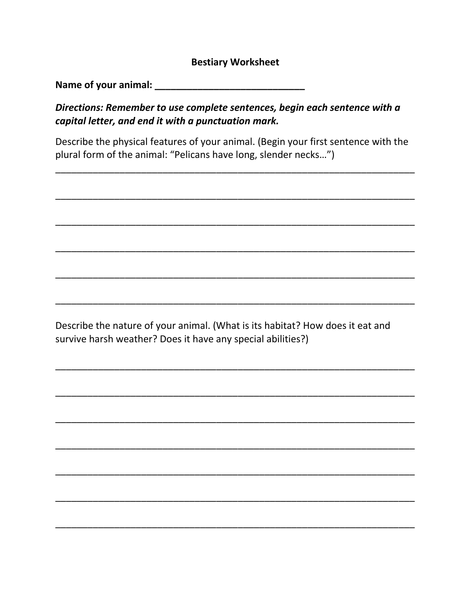# **Bestiary Worksheet**

Directions: Remember to use complete sentences, begin each sentence with a capital letter, and end it with a punctuation mark.

Describe the physical features of your animal. (Begin your first sentence with the plural form of the animal: "Pelicans have long, slender necks...")

Describe the nature of your animal. (What is its habitat? How does it eat and survive harsh weather? Does it have any special abilities?)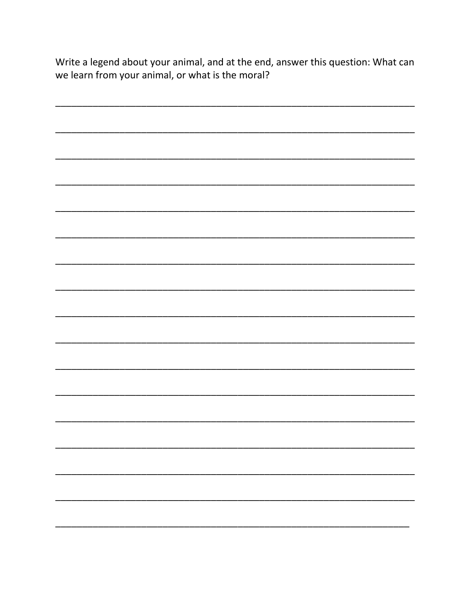Write a legend about your animal, and at the end, answer this question: What can we learn from your animal, or what is the moral?

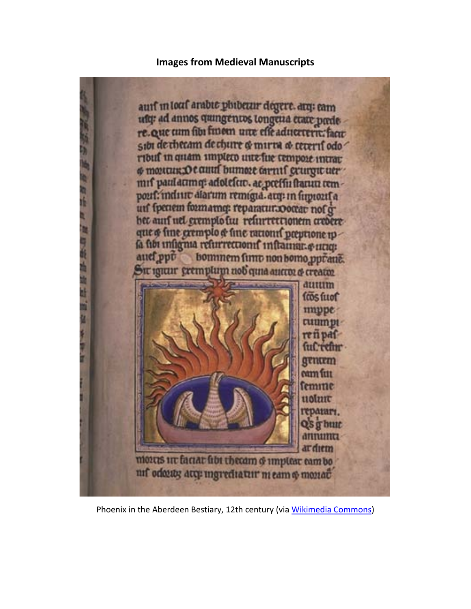# **Images from Medieval Manuscripts**

auff in louf arabic phiberin degere. arq: cam ufg: ad annos quingentos tongena etate prede re. Que tum fibi finom une effe aductern: facie sibi de checam de chure & mirin & teterif odo ribuf in quam impleto unte fue tempoie intrat o monum Ocanul bumore carnif grunynt uer mif paul atmq: adoleftiv. at preffu fratun temport: inditiv diarum remigia. arg: in finnorif a uif fpenem formamm: reparaturaooctac nof d bet auf uel exemplo fur refurrettionem credere que o fine gremplo & fine rationif preprione ip la fibi insignia refurreccionif inflamar. e mag bommem fimo non bomo pprane. auef ppt Sit igitur gremplum nob quia autro: o creator **duuum** fros fuot munne **Cuunnu** reti paf fuCrethr gentem eam fuu femme uolmu геранатт. QS g butt annumu ardıcın mores ur factar fibt thecam o umplear eam bo nif odayay atq: ingrediatur ni eam o monat

Phoenix in the Aberdeen Bestiary, 12th century (via [Wikimedia Commons\)](http://commons.wikimedia.org/wiki/File:Phoenix_detail_from_Aberdeen_Bestiary.jpg#/media/File:Phoenix_detail_from_Aberdeen_Bestiary.jpg)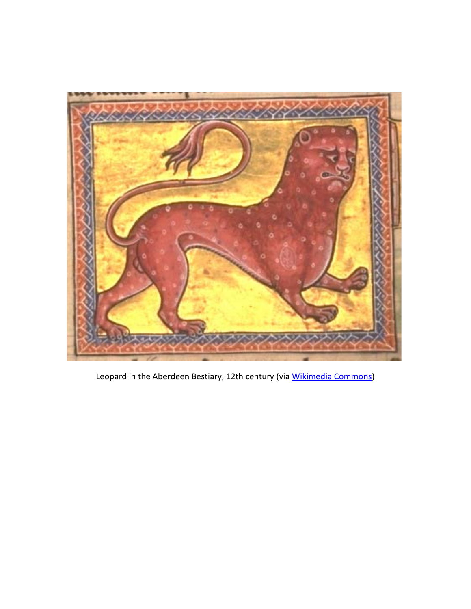

Leopard in the Aberdeen Bestiary, 12th century (via [Wikimedia Commons\)](http://commons.wikimedia.org/wiki/File:AberdeenBestiaryFolio008vLeopardDetail.jpg#/media/File:AberdeenBestiaryFolio008vLeopardDetail.jpg)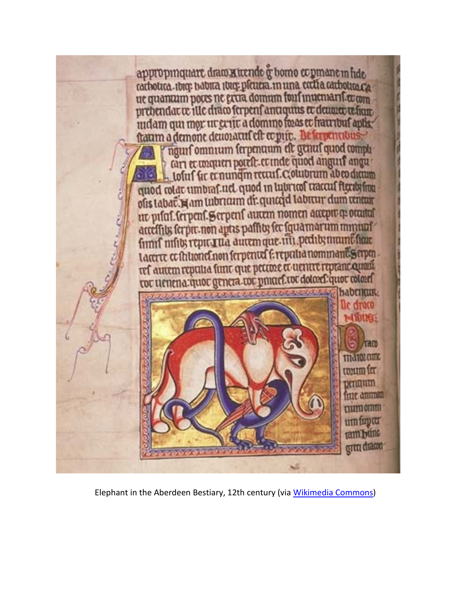

Elephant in the Aberdeen Bestiary, 12th century (via [Wikimedia Commons\)](http://commons.wikimedia.org/wiki/File:AberdeenBestiaryFolio065vDragon.jpg#/media/File:AberdeenBestiaryFolio065vDragon.jpg)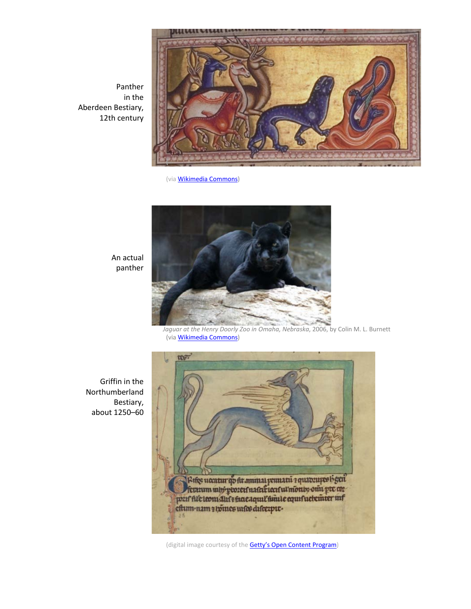Panther in the Aberdeen Bestiary, 12th century



(vi[a Wikimedia Commons](http://commons.wikimedia.org/wiki/File:AberdeenBestiaryFolio009rPantherDetail.jpg)**)**



*Jaguar at the Henry Doorly Zoo in Omaha, Nebraska*, 2006, by Colin M. L. Burnett (vi[a Wikimedia Commons\)](https://commons.wikimedia.org/wiki/File:Jaguar.jpg#/media/File:Jaguar.jpg)

Griffin in the Northumberland Bestiary, about 1250–60

An actual panther



(digital image courtesy of the **Getty's Open Content Program**)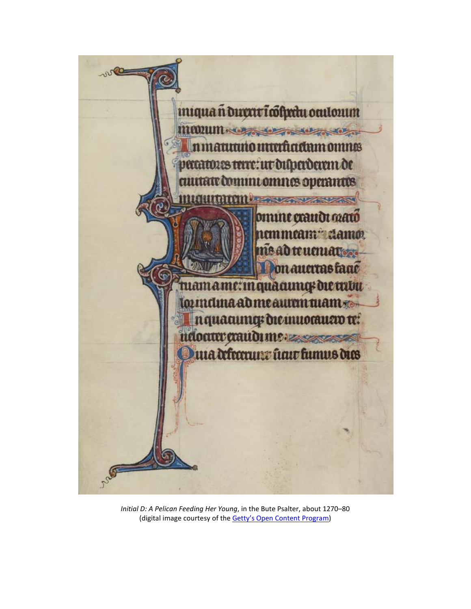

*Initial D: A Pelican Feeding Her Young*, in the Bute Psalter, about 1270–80 (digital image courtesy of the **Getty's Open Content Program**)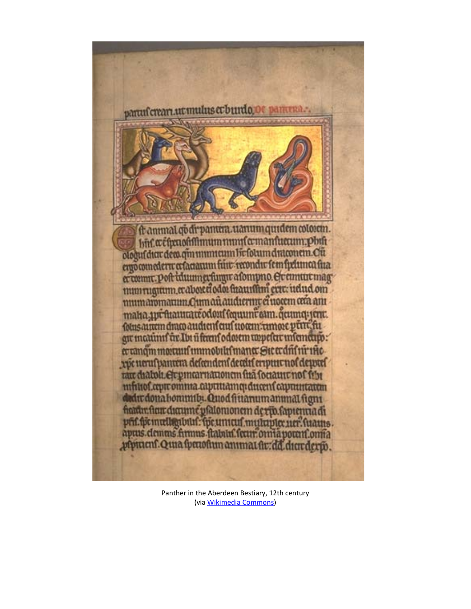

Panther in the Aberdeen Bestiary, 12th century (vi[a Wikimedia Commons\)](http://commons.wikimedia.org/wiki/File:AberdeenBestiaryFolio009rPanther.jpg#/media/File:AberdeenBestiaryFolio009rPanther.jpg)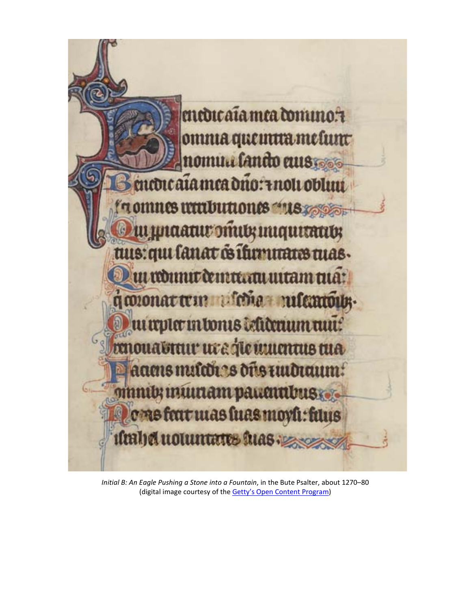

*Initial B: An Eagle Pushing a Stone into a Fountain*, in the Bute Psalter, about 1270–80 (digital image courtesy of the Getty's [Open Content Program\)](http://www.getty.edu/art/collection/objects/1606/bute-master-initial-d-a-pelican-feeding-her-young-french-illumination-about-1270-1280-written-about-135-1375/)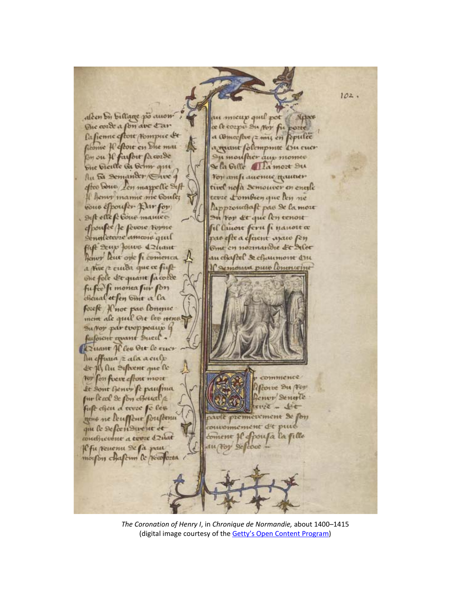$102.$ alcen bi billage po auom in mieup quil pot / Syper The cord a fon ave tar ce le cozpet Su Nor fu pozte Pafienne eftore Hompice & a Comceftve (= mi; en fepulce ficome Il eftoit en bhe mai requint follompmite Du cuer By ou Il faisoit facozde Ou moufher aux momes bue vieille da beim qui Sela Gille Alla mozt Du Au Fa Semander Sive 9 For amp aucmus youner after bone zen mappelle Sift tuel nofa Semouver en entile Il henvr mamie me boule; tevie L'ombien que len ne cone efpouser this for lappzouchaft pas & la mou Sift effe fe Cone manice on For &t que len cenou efpouse Je sevoie topne il lauon feru fi nauoit a nestetevze ameone quil as efte a efacut ajaie fen fift Law forme deliant Ome en nozinandie de Alee henor leur one fi comenca au chaftel de chaumone Qu Comoun pur lovencoint a tive /2 cuida que ce fust The fole det quant facozee fufee fi monta fur fon cheual et fen bint a la forest Hnoe pas longue mem ale quil Oit les tiens Suffor partvoppeaup is facousit equant Sucil. Quant If les Oit le cue lin effuna z ala a culp Le fly Au Siftvent que le соттенее For fon frew effort more Rone Du Por Le Sont Gener fe paufina nor Sengle fur le col de fon cheurel e  $40$ fust cheu a toute fe les premierement St for e ne leusseur soustenu pune omement dit qui le describueur et pousa la fille concentrate a terre delat  $em \in \mathcal{U}$ Cfu renenu Scfa pau morfon chafem le Noofozta

*The Coronation of Henry I*, in *Chronique de Normandie,* about 1400–1415 (digital image courtesy of the Getty's [Open Content Program\)](http://www.getty.edu/art/collection/objects/4116/unknown-maker-the-coronation-of-henry-i-french-about-1400-1415/)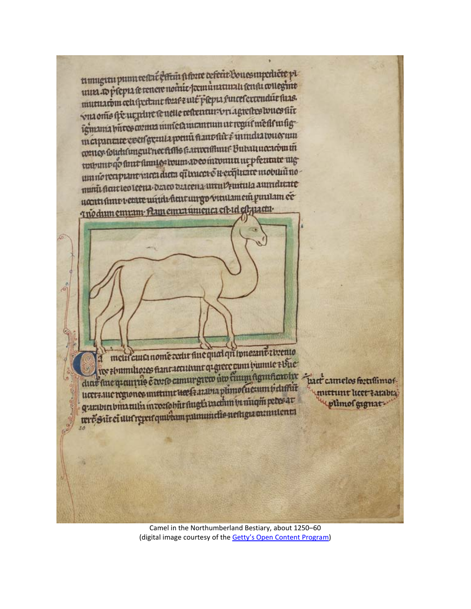timugitu punntestri estim fifore defent Bouesmpediete pl umgun pumvenacenta pola cerea sononguesi mutuato prepare renere nomo perpara furete errendue fuas. vui ome fie ue plue le uelle resteueur vriagrestes toues fir igmama pirres coma nuncea aucuntum at regul mette urtig meipanaire coen grand point fiant fir i mindia touerun meiphine coch heure for anventuur Butatineerowin trabunt qo fuut fuuye toum aveo intomin ur pfecurate mg umno reaprantera duta qitxuca e u exquate mobili no nunit ficate le coleena. Danco deacena unui puntula aumelicate nontrance de la carte contenta de la contenta de la contra de la contenta de la contenta de la contenta de la Tuodum emram Aan emra unienca est id est jiacar

metir cuita nome cetter fine qual qui innerant rivento res ebumuliozes fiantattutuut quere cum biumie ebue dint sine quantule corrid camurgico un cum agmaculte part camelos fortismos ucerauc regiones initime des francs plimolucium is diffut guerbin bina tulis in corfobit flugta vachin in ningin petes av ure Sitei unergretqui dampammelis nethgammulent

mittuut heet tatabta uplimof gigmat-

Camel in the Northumberland Bestiary, about 1250–60 (digital image courtesy of the Getty's [Open Content Program\)](http://www.getty.edu/art/collection/objects/240698/unknown-maker-a-camel-english-about-1250-1260/)